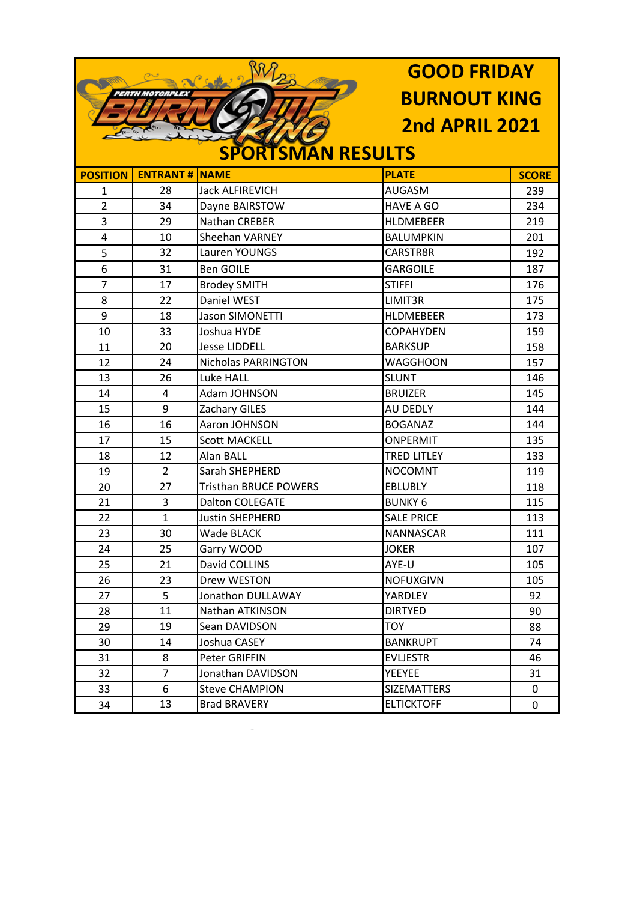|                        |                 |                              | <b>GOOD FRIDAY</b>    |              |
|------------------------|-----------------|------------------------------|-----------------------|--------------|
| <b>PERTH MOTORPLEX</b> |                 | <b>BURNOUT KING</b>          |                       |              |
|                        |                 |                              | <b>2nd APRIL 2021</b> |              |
|                        |                 |                              |                       |              |
|                        |                 | <b>SPORTSMAN RESULTS</b>     |                       |              |
| <b>POSITION</b>        | <b>ENTRANT#</b> | <b>NAME</b>                  | <b>PLATE</b>          | <b>SCORE</b> |
| 1                      | 28              | <b>Jack ALFIREVICH</b>       | <b>AUGASM</b>         | 239          |
| $\overline{2}$         | 34              | Dayne BAIRSTOW               | <b>HAVE A GO</b>      | 234          |
| 3                      | 29              | <b>Nathan CREBER</b>         | <b>HLDMEBEER</b>      | 219          |
| 4                      | 10              | <b>Sheehan VARNEY</b>        | <b>BALUMPKIN</b>      | 201          |
| 5                      | 32              | Lauren YOUNGS                | CARSTR8R              | 192          |
| 6                      | 31              | <b>Ben GOILE</b>             | <b>GARGOILE</b>       | 187          |
| $\overline{7}$         | 17              | <b>Brodey SMITH</b>          | <b>STIFFI</b>         | 176          |
| 8                      | 22              | Daniel WEST                  | LIMIT3R               | 175          |
| 9                      | 18              | <b>Jason SIMONETTI</b>       | HLDMEBEER             | 173          |
| 10                     | 33              | Joshua HYDE                  | <b>COPAHYDEN</b>      | 159          |
| 11                     | 20              | <b>Jesse LIDDELL</b>         | <b>BARKSUP</b>        | 158          |
| 12                     | 24              | <b>Nicholas PARRINGTON</b>   | <b>WAGGHOON</b>       | 157          |
| 13                     | 26              | <b>Luke HALL</b>             | <b>SLUNT</b>          | 146          |
| 14                     | 4               | Adam JOHNSON                 | <b>BRUIZER</b>        | 145          |
| 15                     | 9               | Zachary GILES                | <b>AU DEDLY</b>       | 144          |
| 16                     | 16              | Aaron JOHNSON                | <b>BOGANAZ</b>        | 144          |
| 17                     | 15              | <b>Scott MACKELL</b>         | ONPERMIT              | 135          |
| 18                     | 12              | Alan BALL                    | <b>TRED LITLEY</b>    | 133          |
| 19                     | $\overline{2}$  | Sarah SHEPHERD               | <b>NOCOMNT</b>        | 119          |
| 20                     | 27              | <b>Tristhan BRUCE POWERS</b> | <b>EBLUBLY</b>        | 118          |
| 21                     | 3               | Dalton COLEGATE              | <b>BUNKY 6</b>        | 115          |
| 22                     | 1               | <b>Justin SHEPHERD</b>       | <b>SALE PRICE</b>     | 113          |
| 23                     | 30              | <b>Wade BLACK</b>            | NANNASCAR             | 111          |
| 24                     | 25              | Garry WOOD                   | <b>JOKER</b>          | 107          |
| 25                     | 21              | David COLLINS                | AYE-U                 | 105          |
| 26                     | 23              | Drew WESTON                  | <b>NOFUXGIVN</b>      | 105          |
| 27                     | 5               | Jonathon DULLAWAY            | YARDLEY               | 92           |
| 28                     | 11              | Nathan ATKINSON              | <b>DIRTYED</b>        | 90           |
| 29                     | 19              | Sean DAVIDSON                | <b>TOY</b>            | 88           |
| 30                     | 14              | Joshua CASEY                 | <b>BANKRUPT</b>       | 74           |
| 31                     | 8               | Peter GRIFFIN                | <b>EVLJESTR</b>       | 46           |
| 32                     | $\overline{7}$  | Jonathan DAVIDSON            | YEEYEE                | 31           |
| 33                     | 6               | <b>Steve CHAMPION</b>        | <b>SIZEMATTERS</b>    | 0            |
| 34                     | 13              | <b>Brad BRAVERY</b>          | <b>ELTICKTOFF</b>     | 0            |
|                        |                 |                              |                       |              |

 $\overline{\phantom{0}}$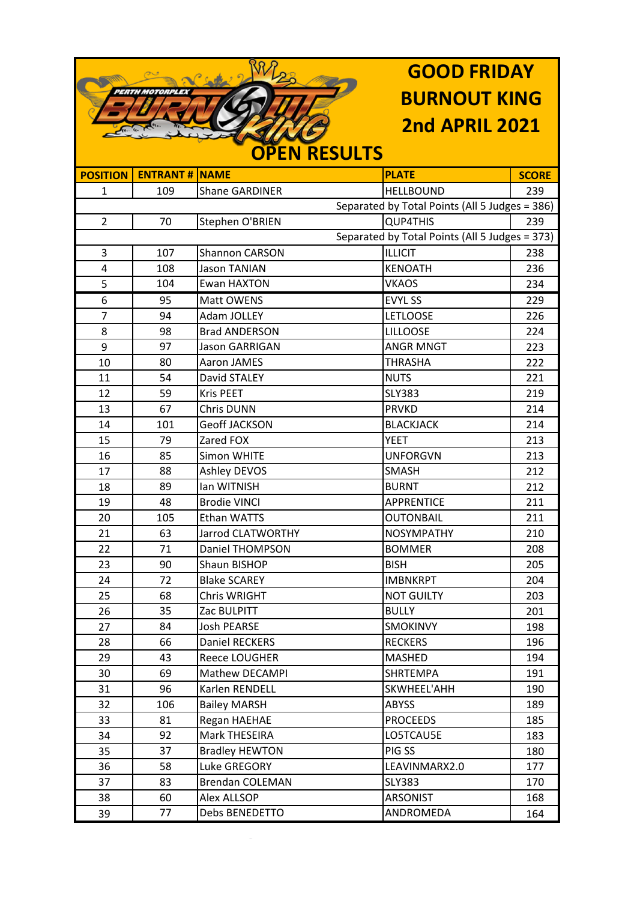|                 |                        |                       | <b>GOOD FRIDAY</b>                             |              |
|-----------------|------------------------|-----------------------|------------------------------------------------|--------------|
|                 | <b>PERTH MOTORPLEX</b> |                       | <b>BURNOUT KING</b>                            |              |
|                 |                        |                       |                                                |              |
|                 |                        |                       | <b>2nd APRIL 2021</b>                          |              |
|                 | <b>OPEN RESULTS</b>    |                       |                                                |              |
| <b>POSITION</b> | <b>ENTRANT#</b>        | <b>NAME</b>           | <b>PLATE</b>                                   | <b>SCORE</b> |
| 1               | 109                    | <b>Shane GARDINER</b> | <b>HELLBOUND</b>                               | 239          |
|                 |                        |                       | Separated by Total Points (All 5 Judges = 386) |              |
| $\overline{2}$  | 70                     | Stephen O'BRIEN       | <b>QUP4THIS</b>                                | 239          |
|                 |                        |                       | Separated by Total Points (All 5 Judges = 373) |              |
| 3               | 107                    | <b>Shannon CARSON</b> | <b>ILLICIT</b>                                 | 238          |
| 4               | 108                    | <b>Jason TANIAN</b>   | <b>KENOATH</b>                                 | 236          |
| 5               | 104                    | Ewan HAXTON           | <b>VKAOS</b>                                   | 234          |
| 6               | 95                     | Matt OWENS            | <b>EVYL SS</b>                                 | 229          |
| $\overline{7}$  | 94                     | Adam JOLLEY           | <b>LETLOOSE</b>                                | 226          |
| 8               | 98                     | <b>Brad ANDERSON</b>  | <b>LILLOOSE</b>                                | 224          |
| 9               | 97                     | <b>Jason GARRIGAN</b> | <b>ANGR MNGT</b>                               | 223          |
| 10              | 80                     | <b>Aaron JAMES</b>    | <b>THRASHA</b>                                 | 222          |
| 11              | 54                     | David STALEY          | <b>NUTS</b>                                    | 221          |
| 12              | 59                     | <b>Kris PEET</b>      | <b>SLY383</b>                                  | 219          |
| 13              | 67                     | <b>Chris DUNN</b>     | <b>PRVKD</b>                                   | 214          |
| 14              | 101                    | <b>Geoff JACKSON</b>  | <b>BLACKJACK</b>                               | 214          |
| 15              | 79                     | Zared FOX             | <b>YEET</b>                                    | 213          |
| 16              | 85                     | <b>Simon WHITE</b>    | <b>UNFORGVN</b>                                | 213          |
| 17              | 88                     | <b>Ashley DEVOS</b>   | <b>SMASH</b>                                   | 212          |
| 18              | 89                     | Ian WITNISH           | <b>BURNT</b>                                   | 212          |
| 19              | 48                     | <b>Brodie VINCI</b>   | <b>APPRENTICE</b>                              | 211          |
| 20              | 105                    | <b>Ethan WATTS</b>    | <b>OUTONBAIL</b>                               | 211          |
| 21              | 63                     | Jarrod CLATWORTHY     | <b>NOSYMPATHY</b>                              | 210          |
| 22              | 71                     | Daniel THOMPSON       | <b>BOMMER</b>                                  | 208          |
| 23              | 90                     | Shaun BISHOP          | <b>BISH</b>                                    | 205          |
| 24              | 72                     | <b>Blake SCAREY</b>   | <b>IMBNKRPT</b>                                | 204          |
| 25              | 68                     | Chris WRIGHT          | <b>NOT GUILTY</b>                              | 203          |
| 26              | 35                     | Zac BULPITT           | <b>BULLY</b>                                   | 201          |
| 27              | 84                     | <b>Josh PEARSE</b>    | <b>SMOKINVY</b>                                | 198          |
| 28              | 66                     | Daniel RECKERS        | <b>RECKERS</b>                                 | 196          |
| 29              | 43                     | Reece LOUGHER         | MASHED                                         | 194          |
| 30              | 69                     | Mathew DECAMPI        | <b>SHRTEMPA</b>                                | 191          |
| 31              | 96                     | Karlen RENDELL        | SKWHEEL'AHH                                    | 190          |
| 32              | 106                    | <b>Bailey MARSH</b>   | <b>ABYSS</b>                                   | 189          |
| 33              | 81                     | Regan HAEHAE          | <b>PROCEEDS</b>                                | 185          |
| 34              | 92                     | Mark THESEIRA         | LO5TCAU5E                                      | 183          |
| 35              | 37                     | <b>Bradley HEWTON</b> | PIG SS                                         | 180          |
| 36              | 58                     | Luke GREGORY          | LEAVINMARX2.0                                  | 177          |

170

168

164

**SLY383** 

ARSONIST

ANDROMEDA

**Brendan COLEMAN** 

Debs BENEDETTO

**Alex ALLSOP** 

37

 $38$ 

 $\overline{39}$ 

83

60

 $\overline{77}$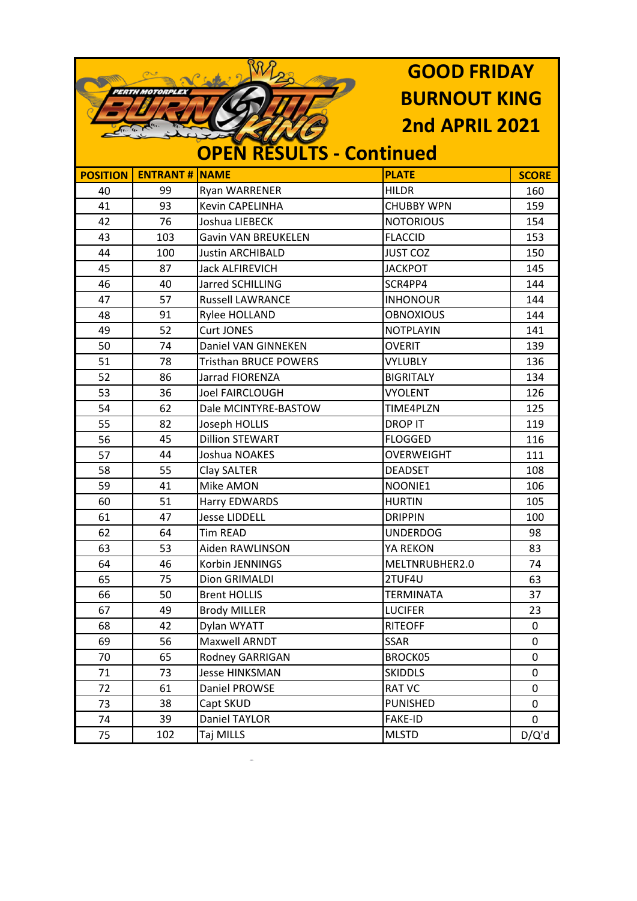| PERTH MOTORPLEX |                       | <b>GOOD FRIDAY</b>              |                       |              |
|-----------------|-----------------------|---------------------------------|-----------------------|--------------|
|                 |                       |                                 | <b>BURNOUT KING</b>   |              |
|                 |                       |                                 | <b>2nd APRIL 2021</b> |              |
|                 |                       |                                 |                       |              |
|                 |                       | <b>OPEN RESULTS - Continued</b> |                       |              |
| <b>POSITION</b> | <b>ENTRANT # NAME</b> |                                 | <b>PLATE</b>          | <b>SCORE</b> |
| 40              | 99                    | Ryan WARRENER                   | <b>HILDR</b>          | 160          |
| 41              | 93                    | Kevin CAPELINHA                 | <b>CHUBBY WPN</b>     | 159          |
| 42              | 76                    | Joshua LIEBECK                  | <b>NOTORIOUS</b>      | 154          |
| 43              | 103                   | <b>Gavin VAN BREUKELEN</b>      | <b>FLACCID</b>        | 153          |
| 44              | 100                   | <b>Justin ARCHIBALD</b>         | <b>JUST COZ</b>       | 150          |
| 45              | 87                    | <b>Jack ALFIREVICH</b>          | <b>JACKPOT</b>        | 145          |
| 46              | 40                    | Jarred SCHILLING                | SCR4PP4               | 144          |
| 47              | 57                    | <b>Russell LAWRANCE</b>         | <b>INHONOUR</b>       | 144          |
| 48              | 91                    | Rylee HOLLAND                   | <b>OBNOXIOUS</b>      | 144          |
| 49              | 52                    | <b>Curt JONES</b>               | <b>NOTPLAYIN</b>      | 141          |
| 50              | 74                    | Daniel VAN GINNEKEN             | <b>OVERIT</b>         | 139          |
| 51              | 78                    | <b>Tristhan BRUCE POWERS</b>    | <b>VYLUBLY</b>        | 136          |
| 52              | 86                    | Jarrad FIORENZA                 | <b>BIGRITALY</b>      | 134          |
| 53              | 36                    | <b>Joel FAIRCLOUGH</b>          | <b>VYOLENT</b>        | 126          |
| 54              | 62                    | Dale MCINTYRE-BASTOW            | TIME4PLZN             | 125          |
| 55              | 82                    | Joseph HOLLIS                   | <b>DROP IT</b>        | 119          |
| 56              | 45                    | <b>Dillion STEWART</b>          | <b>FLOGGED</b>        | 116          |
| 57              | 44                    | Joshua NOAKES                   | <b>OVERWEIGHT</b>     | 111          |
| 58              | 55                    | Clay SALTER                     | <b>DEADSET</b>        | 108          |
| 59              | 41                    | Mike AMON                       | NOONIE1               | 106          |
| 60              | 51                    | Harry EDWARDS                   | <b>HURTIN</b>         | 105          |
| 61              | 47                    | <b>Jesse LIDDELL</b>            | <b>DRIPPIN</b>        | 100          |
| 62              | 64                    | Tim READ                        | <b>UNDERDOG</b>       | 98           |
| 63              | 53                    | Aiden RAWLINSON                 | YA REKON              | 83           |
| 64              | 46                    | Korbin JENNINGS                 | MELTNRUBHER2.0        | 74           |
| 65              | 75                    | Dion GRIMALDI                   | 2TUF4U                | 63           |
| 66              | 50                    | <b>Brent HOLLIS</b>             | <b>TERMINATA</b>      | 37           |
| 67              | 49                    | <b>Brody MILLER</b>             | <b>LUCIFER</b>        | 23           |
| 68              | 42                    | Dylan WYATT                     | <b>RITEOFF</b>        | 0            |
| 69              | 56                    | Maxwell ARNDT                   | <b>SSAR</b>           | 0            |
| 70              | 65                    | Rodney GARRIGAN                 | BROCK05               | 0            |
| 71              | 73                    | <b>Jesse HINKSMAN</b>           | <b>SKIDDLS</b>        | 0            |
| 72              | 61                    | Daniel PROWSE                   | <b>RAT VC</b>         | 0            |
| 73              | 38                    | Capt SKUD                       | <b>PUNISHED</b>       | 0            |
| 74              | 39                    | Daniel TAYLOR                   | <b>FAKE-ID</b>        | 0            |
| 75              | 102                   | Taj MILLS                       | <b>MLSTD</b>          | D/Q'd        |

 $\mathcal{L}_{\mathcal{A}}$